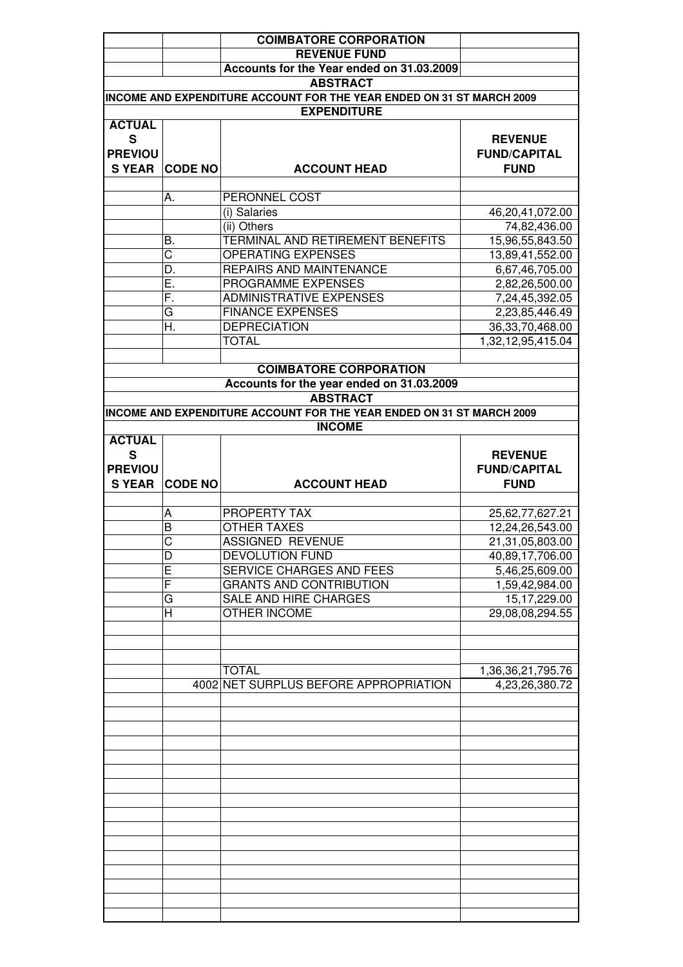|                |                | <b>COIMBATORE CORPORATION</b>                                         |                     |
|----------------|----------------|-----------------------------------------------------------------------|---------------------|
|                |                | <b>REVENUE FUND</b>                                                   |                     |
|                |                | Accounts for the Year ended on 31.03.2009                             |                     |
|                |                | <b>ABSTRACT</b>                                                       |                     |
|                |                | INCOME AND EXPENDITURE ACCOUNT FOR THE YEAR ENDED ON 31 ST MARCH 2009 |                     |
|                |                | <b>EXPENDITURE</b>                                                    |                     |
| <b>ACTUAL</b>  |                |                                                                       |                     |
| S              |                |                                                                       | <b>REVENUE</b>      |
|                |                |                                                                       |                     |
| <b>PREVIOU</b> |                |                                                                       | <b>FUND/CAPITAL</b> |
| <b>S YEAR</b>  | <b>CODE NO</b> | <b>ACCOUNT HEAD</b>                                                   | <b>FUND</b>         |
|                |                |                                                                       |                     |
|                | А.             | PERONNEL COST                                                         |                     |
|                |                | (i) Salaries                                                          | 46,20,41,072.00     |
|                |                | (ii) Others                                                           | 74,82,436.00        |
|                | В.             | TERMINAL AND RETIREMENT BENEFITS                                      | 15,96,55,843.50     |
|                | C              | <b>OPERATING EXPENSES</b>                                             | 13,89,41,552.00     |
|                | D.             | REPAIRS AND MAINTENANCE                                               | 6,67,46,705.00      |
|                | Е.             | PROGRAMME EXPENSES                                                    | 2,82,26,500.00      |
|                | F.             | <b>ADMINISTRATIVE EXPENSES</b>                                        | 7,24,45,392.05      |
|                | G              | <b>FINANCE EXPENSES</b>                                               | 2,23,85,446.49      |
|                | Н.             | <b>DEPRECIATION</b>                                                   | 36, 33, 70, 468. 00 |
|                |                | <b>TOTAL</b>                                                          | 1,32,12,95,415.04   |
|                |                |                                                                       |                     |
|                |                | <b>COIMBATORE CORPORATION</b>                                         |                     |
|                |                |                                                                       |                     |
|                |                | Accounts for the year ended on 31.03.2009                             |                     |
|                |                | <b>ABSTRACT</b>                                                       |                     |
|                |                | INCOME AND EXPENDITURE ACCOUNT FOR THE YEAR ENDED ON 31 ST MARCH 2009 |                     |
|                |                | <b>INCOME</b>                                                         |                     |
| <b>ACTUAL</b>  |                |                                                                       |                     |
| S              |                |                                                                       | <b>REVENUE</b>      |
| <b>PREVIOU</b> |                |                                                                       | <b>FUND/CAPITAL</b> |
|                | <b>CODE NO</b> | <b>ACCOUNT HEAD</b>                                                   | <b>FUND</b>         |
| <b>S YEAR</b>  |                |                                                                       |                     |
|                |                |                                                                       |                     |
|                | A              | PROPERTY TAX                                                          | 25,62,77,627.21     |
|                | B              | <b>OTHER TAXES</b>                                                    | 12,24,26,543.00     |
|                | C              | <b>ASSIGNED REVENUE</b>                                               |                     |
|                |                |                                                                       | 21,31,05,803.00     |
|                | D              | <b>DEVOLUTION FUND</b>                                                | 40,89,17,706.00     |
|                | Ε              | SERVICE CHARGES AND FEES                                              | 5,46,25,609.00      |
|                | F              | <b>GRANTS AND CONTRIBUTION</b>                                        | 1,59,42,984.00      |
|                | G              | SALE AND HIRE CHARGES                                                 | 15,17,229.00        |
|                | Н              | <b>OTHER INCOME</b>                                                   | 29,08,08,294.55     |
|                |                |                                                                       |                     |
|                |                |                                                                       |                     |
|                |                |                                                                       |                     |
|                |                | <b>TOTAL</b>                                                          | 1,36,36,21,795.76   |
|                |                | 4002 NET SURPLUS BEFORE APPROPRIATION                                 | 4,23,26,380.72      |
|                |                |                                                                       |                     |
|                |                |                                                                       |                     |
|                |                |                                                                       |                     |
|                |                |                                                                       |                     |
|                |                |                                                                       |                     |
|                |                |                                                                       |                     |
|                |                |                                                                       |                     |
|                |                |                                                                       |                     |
|                |                |                                                                       |                     |
|                |                |                                                                       |                     |
|                |                |                                                                       |                     |
|                |                |                                                                       |                     |
|                |                |                                                                       |                     |
|                |                |                                                                       |                     |
|                |                |                                                                       |                     |
|                |                |                                                                       |                     |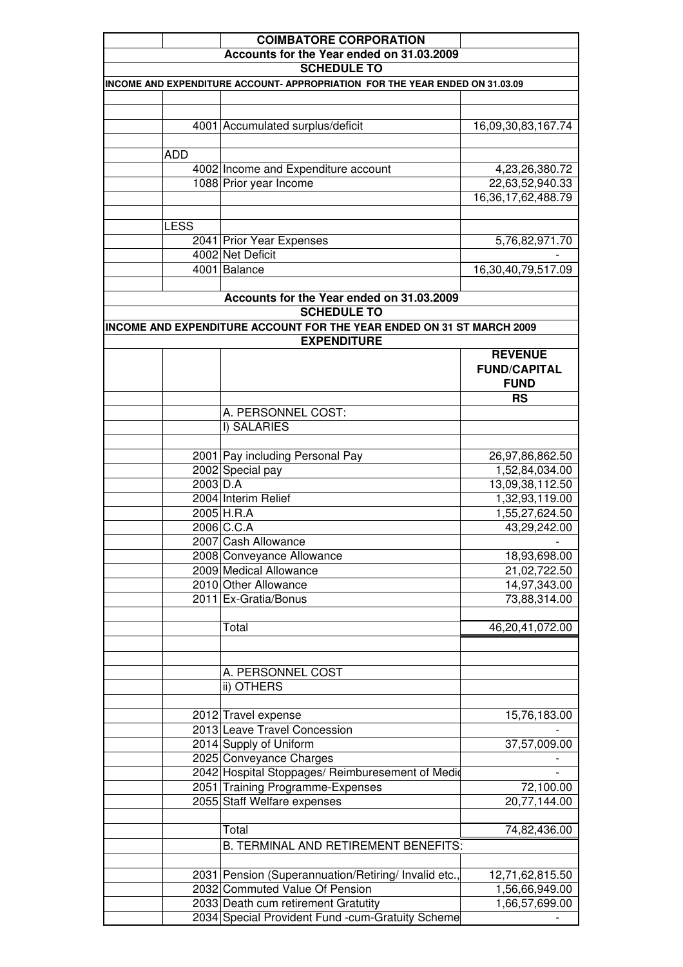|             | <b>COIMBATORE CORPORATION</b>                                                |                                    |
|-------------|------------------------------------------------------------------------------|------------------------------------|
|             | Accounts for the Year ended on 31.03.2009<br><b>SCHEDULE TO</b>              |                                    |
|             | INCOME AND EXPENDITURE ACCOUNT- APPROPRIATION FOR THE YEAR ENDED ON 31.03.09 |                                    |
|             |                                                                              |                                    |
|             | 4001 Accumulated surplus/deficit                                             | 16,09,30,83,167.74                 |
|             |                                                                              |                                    |
| <b>ADD</b>  |                                                                              |                                    |
|             | 4002 Income and Expenditure account                                          | 4,23,26,380.72                     |
|             | 1088 Prior year Income                                                       | 22,63,52,940.33                    |
|             |                                                                              | 16,36,17,62,488.79                 |
| <b>LESS</b> |                                                                              |                                    |
|             | 2041 Prior Year Expenses                                                     | 5,76,82,971.70                     |
|             | 4002 Net Deficit                                                             |                                    |
|             | 4001 Balance                                                                 | 16,30,40,79,517.09                 |
|             |                                                                              |                                    |
|             | Accounts for the Year ended on 31.03.2009<br><b>SCHEDULE TO</b>              |                                    |
|             | INCOME AND EXPENDITURE ACCOUNT FOR THE YEAR ENDED ON 31 ST MARCH 2009        |                                    |
|             | <b>EXPENDITURE</b><br><b>REVENUE</b>                                         |                                    |
|             |                                                                              | <b>FUND/CAPITAL</b><br><b>FUND</b> |
|             |                                                                              | <b>RS</b>                          |
|             | A. PERSONNEL COST:                                                           |                                    |
|             | I) SALARIES                                                                  |                                    |
|             |                                                                              |                                    |
|             | 2001 Pay including Personal Pay                                              | 26,97,86,862.50                    |
|             | 2002 Special pay                                                             | 1,52,84,034.00                     |
|             | 2003 D.A                                                                     | 13,09,38,112.50                    |
|             | 2004 Interim Relief                                                          | 1,32,93,119.00                     |
|             | 2005 H.R.A                                                                   | 1,55,27,624.50                     |
|             | 2006 C.C.A                                                                   | 43,29,242.00                       |
|             | 2007 Cash Allowance                                                          |                                    |
|             | 2008 Conveyance Allowance                                                    | 18,93,698.00                       |
|             | 2009 Medical Allowance                                                       | 21,02,722.50                       |
|             | 2010 Other Allowance                                                         | 14,97,343.00                       |
|             | 2011 Ex-Gratia/Bonus                                                         | 73,88,314.00                       |
|             | Total                                                                        | 46,20,41,072.00                    |
|             |                                                                              |                                    |
|             | A. PERSONNEL COST                                                            |                                    |
|             | ii) OTHERS                                                                   |                                    |
|             |                                                                              |                                    |
|             | 2012 Travel expense                                                          | 15,76,183.00                       |
|             | 2013 Leave Travel Concession                                                 |                                    |
|             | 2014 Supply of Uniform                                                       | 37,57,009.00                       |
|             | 2025 Conveyance Charges                                                      |                                    |
|             | 2042 Hospital Stoppages/ Reimburesement of Medio                             |                                    |
|             | 2051 Training Programme-Expenses                                             | 72,100.00                          |
|             | 2055 Staff Welfare expenses                                                  | 20,77,144.00                       |
|             | Total                                                                        | 74,82,436.00                       |
|             | B. TERMINAL AND RETIREMENT BENEFITS:                                         |                                    |
|             |                                                                              |                                    |
|             | 2031 Pension (Superannuation/Retiring/ Invalid etc.,                         | 12,71,62,815.50                    |
|             | 2032 Commuted Value Of Pension                                               | 1,56,66,949.00                     |
|             | 2033 Death cum retirement Gratutity                                          | 1,66,57,699.00                     |
|             | 2034 Special Provident Fund -cum-Gratuity Scheme                             |                                    |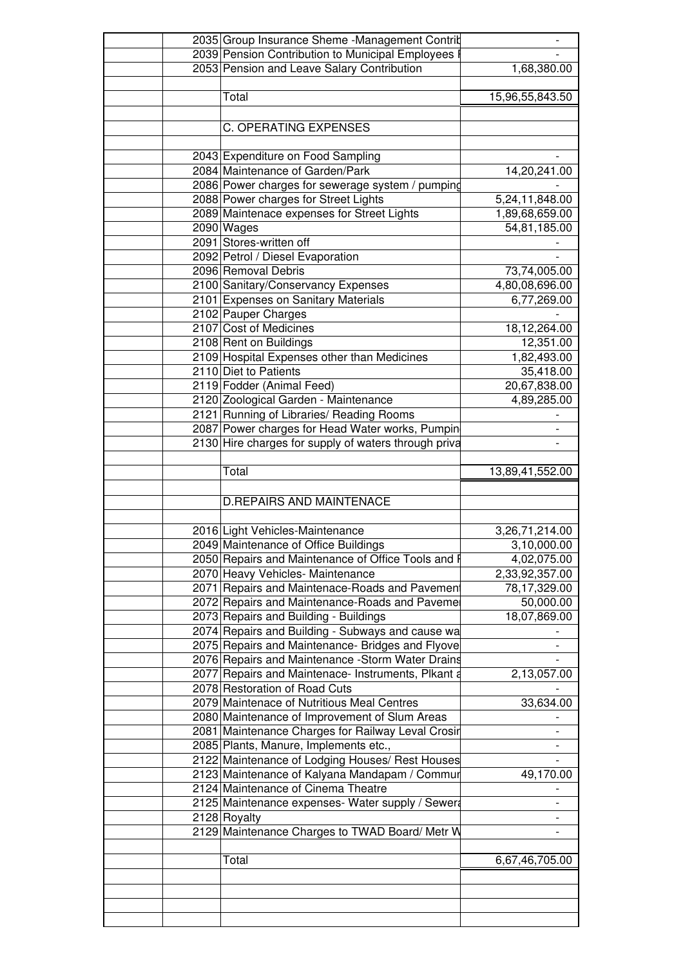| 2035 Group Insurance Sheme -Management Contrit       |                 |
|------------------------------------------------------|-----------------|
| 2039 Pension Contribution to Municipal Employees I   |                 |
| 2053 Pension and Leave Salary Contribution           | 1,68,380.00     |
|                                                      |                 |
| Total                                                | 15,96,55,843.50 |
|                                                      |                 |
| <b>C. OPERATING EXPENSES</b>                         |                 |
|                                                      |                 |
| 2043 Expenditure on Food Sampling                    |                 |
|                                                      |                 |
| 2084 Maintenance of Garden/Park                      | 14,20,241.00    |
| 2086 Power charges for sewerage system / pumping     |                 |
| 2088 Power charges for Street Lights                 | 5,24,11,848.00  |
| 2089 Maintenace expenses for Street Lights           | 1,89,68,659.00  |
| 2090 Wages                                           | 54,81,185.00    |
| 2091 Stores-written off                              |                 |
| 2092 Petrol / Diesel Evaporation                     |                 |
| 2096 Removal Debris                                  | 73,74,005.00    |
| 2100 Sanitary/Conservancy Expenses                   | 4,80,08,696.00  |
| 2101 Expenses on Sanitary Materials                  | 6,77,269.00     |
| 2102 Pauper Charges                                  |                 |
| 2107 Cost of Medicines                               | 18,12,264.00    |
| 2108 Rent on Buildings                               | 12,351.00       |
| 2109 Hospital Expenses other than Medicines          | 1,82,493.00     |
| 2110 Diet to Patients                                |                 |
|                                                      | 35,418.00       |
| 2119 Fodder (Animal Feed)                            | 20,67,838.00    |
| 2120 Zoological Garden - Maintenance                 | 4,89,285.00     |
| 2121 Running of Libraries/ Reading Rooms             |                 |
| 2087 Power charges for Head Water works, Pumpin      |                 |
| 2130 Hire charges for supply of waters through priva |                 |
|                                                      |                 |
| Total                                                | 13,89,41,552.00 |
|                                                      |                 |
| <b>D.REPAIRS AND MAINTENACE</b>                      |                 |
|                                                      |                 |
|                                                      |                 |
| 2016 Light Vehicles-Maintenance                      | 3,26,71,214.00  |
| 2049 Maintenance of Office Buildings                 | 3,10,000.00     |
| 2050 Repairs and Maintenance of Office Tools and F   | 4,02,075.00     |
| 2070 Heavy Vehicles- Maintenance                     | 2,33,92,357.00  |
| 2071 Repairs and Maintenace-Roads and Pavement       | 78,17,329.00    |
| 2072 Repairs and Maintenance-Roads and Pavemer       | 50,000.00       |
| 2073 Repairs and Building - Buildings                | 18,07,869.00    |
| 2074 Repairs and Building - Subways and cause wa     |                 |
| 2075 Repairs and Maintenance- Bridges and Flyove     |                 |
| 2076 Repairs and Maintenance - Storm Water Drains    |                 |
| 2077 Repairs and Maintenace- Instruments, Plkant a   | 2,13,057.00     |
| 2078 Restoration of Road Cuts                        |                 |
|                                                      |                 |
| 2079 Maintenace of Nutritious Meal Centres           | 33,634.00       |
| 2080 Maintenance of Improvement of Slum Areas        |                 |
| 2081 Maintenance Charges for Railway Leval Crosir    |                 |
| 2085 Plants, Manure, Implements etc.,                |                 |
|                                                      |                 |
| 2122 Maintenance of Lodging Houses/ Rest Houses      |                 |
| 2123 Maintenance of Kalyana Mandapam / Commur        | 49,170.00       |
| 2124 Maintenance of Cinema Theatre                   |                 |
|                                                      |                 |
| 2125 Maintenance expenses- Water supply / Sewera     |                 |
| 2128 Royalty                                         |                 |
| 2129 Maintenance Charges to TWAD Board/ Metr W       |                 |
|                                                      |                 |
| Total                                                | 6,67,46,705.00  |
|                                                      |                 |
|                                                      |                 |
|                                                      |                 |
|                                                      |                 |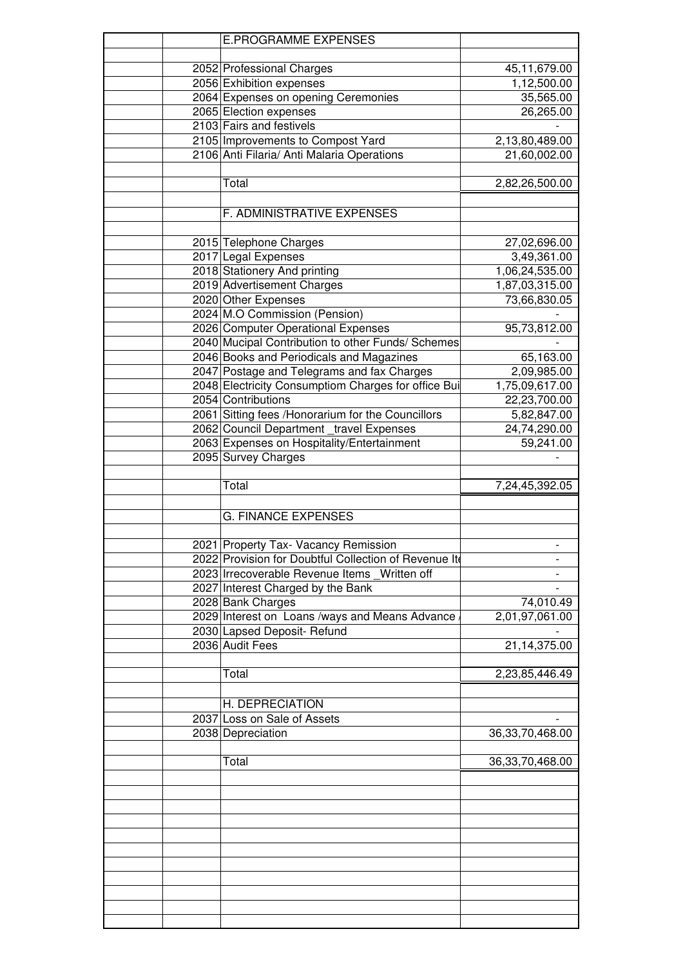|  | <b>E.PROGRAMME EXPENSES</b>                           |                    |
|--|-------------------------------------------------------|--------------------|
|  |                                                       |                    |
|  | 2052 Professional Charges                             | 45,11,679.00       |
|  | 2056 Exhibition expenses                              |                    |
|  |                                                       | 1,12,500.00        |
|  | 2064 Expenses on opening Ceremonies                   | 35,565.00          |
|  | 2065 Election expenses                                | 26,265.00          |
|  | 2103 Fairs and festivels                              |                    |
|  | 2105 Improvements to Compost Yard                     | 2,13,80,489.00     |
|  | 2106 Anti Filaria/ Anti Malaria Operations            | 21,60,002.00       |
|  |                                                       |                    |
|  | Total                                                 | 2,82,26,500.00     |
|  |                                                       |                    |
|  |                                                       |                    |
|  | F. ADMINISTRATIVE EXPENSES                            |                    |
|  |                                                       |                    |
|  | 2015 Telephone Charges                                | 27,02,696.00       |
|  | 2017 Legal Expenses                                   | 3,49,361.00        |
|  | 2018 Stationery And printing                          | 1,06,24,535.00     |
|  | 2019 Advertisement Charges                            | 1,87,03,315.00     |
|  |                                                       |                    |
|  | 2020 Other Expenses                                   | 73,66,830.05       |
|  | 2024 M.O Commission (Pension)                         |                    |
|  | 2026 Computer Operational Expenses                    | 95,73,812.00       |
|  | 2040 Mucipal Contribution to other Funds/ Schemes     |                    |
|  | 2046 Books and Periodicals and Magazines              | 65,163.00          |
|  | 2047 Postage and Telegrams and fax Charges            | 2,09,985.00        |
|  |                                                       | 1,75,09,617.00     |
|  | 2048 Electricity Consumptiom Charges for office Bui   |                    |
|  | 2054 Contributions                                    | 22,23,700.00       |
|  | 2061 Sitting fees /Honorarium for the Councillors     | 5,82,847.00        |
|  | 2062 Council Department _travel Expenses              | 24,74,290.00       |
|  | 2063 Expenses on Hospitality/Entertainment            | 59,241.00          |
|  | 2095 Survey Charges                                   |                    |
|  |                                                       |                    |
|  | Total                                                 | 7,24,45,392.05     |
|  |                                                       |                    |
|  |                                                       |                    |
|  | <b>G. FINANCE EXPENSES</b>                            |                    |
|  |                                                       |                    |
|  | 2021 Property Tax- Vacancy Remission                  |                    |
|  | 2022 Provision for Doubtful Collection of Revenue Ite |                    |
|  | 2023 Irrecoverable Revenue Items Written off          |                    |
|  |                                                       |                    |
|  |                                                       |                    |
|  | 2027 Interest Charged by the Bank                     |                    |
|  | 2028 Bank Charges                                     | 74,010.49          |
|  | 2029 Interest on Loans /ways and Means Advance        | 2,01,97,061.00     |
|  | 2030 Lapsed Deposit- Refund                           |                    |
|  | 2036 Audit Fees                                       | 21,14,375.00       |
|  |                                                       |                    |
|  |                                                       |                    |
|  | Total                                                 | 2,23,85,446.49     |
|  |                                                       |                    |
|  | H. DEPRECIATION                                       |                    |
|  | 2037 Loss on Sale of Assets                           |                    |
|  | 2038 Depreciation                                     | 36, 33, 70, 468.00 |
|  |                                                       |                    |
|  | Total                                                 |                    |
|  |                                                       | 36, 33, 70, 468.00 |
|  |                                                       |                    |
|  |                                                       |                    |
|  |                                                       |                    |
|  |                                                       |                    |
|  |                                                       |                    |
|  |                                                       |                    |
|  |                                                       |                    |
|  |                                                       |                    |
|  |                                                       |                    |
|  |                                                       |                    |
|  |                                                       |                    |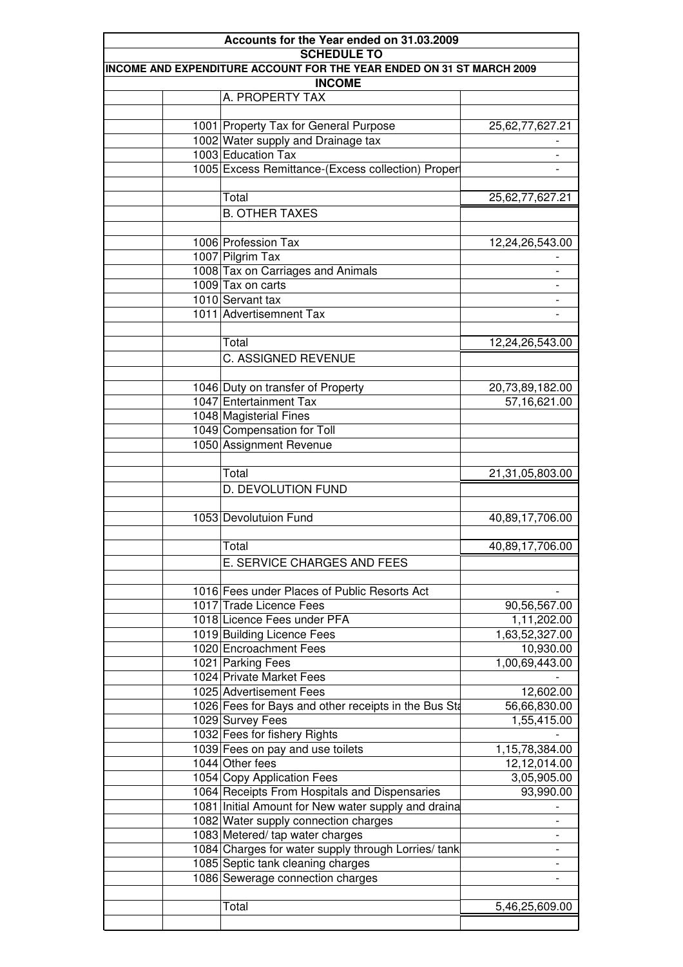| INCOME AND EXPENDITURE ACCOUNT FOR THE YEAR ENDED ON 31 ST MARCH 2009 |                          |
|-----------------------------------------------------------------------|--------------------------|
| <b>INCOME</b>                                                         |                          |
| A. PROPERTY TAX                                                       |                          |
| 1001 Property Tax for General Purpose                                 | 25,62,77,627.21          |
| 1002 Water supply and Drainage tax                                    |                          |
| 1003 Education Tax                                                    | $\overline{\phantom{a}}$ |
| 1005 Excess Remittance-(Excess collection) Proper                     |                          |
|                                                                       |                          |
| Total                                                                 | 25,62,77,627.21          |
|                                                                       |                          |
| <b>B. OTHER TAXES</b>                                                 |                          |
| 1006 Profession Tax                                                   | 12,24,26,543.00          |
| 1007 Pilgrim Tax                                                      |                          |
| 1008 Tax on Carriages and Animals                                     | $\overline{a}$           |
| 1009 Tax on carts                                                     |                          |
| 1010 Servant tax                                                      | $\overline{\phantom{a}}$ |
| 1011 Advertisemnent Tax                                               | $\overline{\phantom{a}}$ |
|                                                                       |                          |
| Total                                                                 | 12,24,26,543.00          |
|                                                                       |                          |
| C. ASSIGNED REVENUE                                                   |                          |
|                                                                       |                          |
| 1046 Duty on transfer of Property                                     | 20,73,89,182.00          |
| 1047 Entertainment Tax                                                | 57,16,621.00             |
| 1048 Magisterial Fines                                                |                          |
| 1049 Compensation for Toll                                            |                          |
| 1050 Assignment Revenue                                               |                          |
|                                                                       |                          |
| Total                                                                 | 21,31,05,803.00          |
| D. DEVOLUTION FUND                                                    |                          |
|                                                                       |                          |
| 1053 Devolutuion Fund                                                 | 40,89,17,706.00          |
|                                                                       |                          |
| Total                                                                 | 40,89,17,706.00          |
| E. SERVICE CHARGES AND FEES                                           |                          |
|                                                                       |                          |
| 1016 Fees under Places of Public Resorts Act                          |                          |
| 1017 Trade Licence Fees                                               | 90,56,567.00             |
| 1018 Licence Fees under PFA                                           | 1,11,202.00              |
| 1019 Building Licence Fees                                            | 1,63,52,327.00           |
| 1020 Encroachment Fees                                                | 10,930.00                |
| 1021 Parking Fees                                                     | 1,00,69,443.00           |
| 1024 Private Market Fees                                              |                          |
| 1025 Advertisement Fees                                               | 12,602.00                |
| 1026 Fees for Bays and other receipts in the Bus Sta                  | 56,66,830.00             |
| 1029 Survey Fees                                                      | 1,55,415.00              |
| 1032 Fees for fishery Rights                                          |                          |
| 1039 Fees on pay and use toilets                                      | 1,15,78,384.00           |
| 1044 Other fees                                                       | 12,12,014.00             |
| 1054 Copy Application Fees                                            | 3,05,905.00              |
| 1064 Receipts From Hospitals and Dispensaries                         | 93,990.00                |
| 1081 Initial Amount for New water supply and draina                   |                          |
| 1082 Water supply connection charges                                  | -                        |
| 1083 Metered/ tap water charges                                       | -                        |
| 1084 Charges for water supply through Lorries/tank                    | $\overline{\phantom{0}}$ |
| 1085 Septic tank cleaning charges                                     | $\overline{\phantom{0}}$ |
| 1086 Sewerage connection charges                                      | -                        |
|                                                                       |                          |
| Total                                                                 | 5,46,25,609.00           |
|                                                                       |                          |